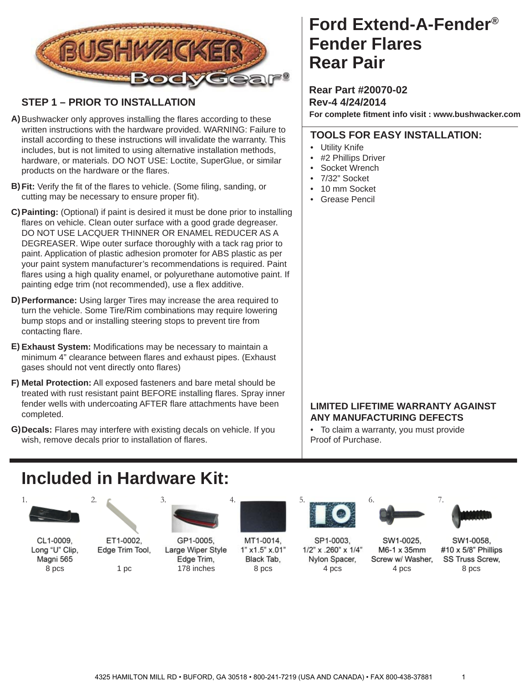

#### **STEP 1 – PRIOR TO INSTALLATION**

- A) Bushwacker only approves installing the flares according to these written instructions with the hardware provided. WARNING: Failure to install according to these instructions will invalidate the warranty. This includes, but is not limited to using alternative installation methods, hardware, or materials. DO NOT USE: Loctite, SuperGlue, or similar products on the hardware or the flares.
- **B) Fit:** Verify the fit of the flares to vehicle. (Some filing, sanding, or cutting may be necessary to ensure proper fit).
- **Painting:** (Optional) if paint is desired it must be done prior to installing **C)** flares on vehicle. Clean outer surface with a good grade degreaser. DO NOT USE LACQUER THINNER OR ENAMEL REDUCER AS A DEGREASER. Wipe outer surface thoroughly with a tack rag prior to paint. Application of plastic adhesion promoter for ABS plastic as per your paint system manufacturer's recommendations is required. Paint flares using a high quality enamel, or polyurethane automotive paint. If painting edge trim (not recommended), use a flex additive.
- **Performance:** Using larger Tires may increase the area required to **D)** turn the vehicle. Some Tire/Rim combinations may require lowering bump stops and or installing steering stops to prevent tire from contacting flare.
- E) Exhaust System: Modifications may be necessary to maintain a minimum 4" clearance between flares and exhaust pipes. (Exhaust gases should not vent directly onto flares)
- **Metal Protection:** All exposed fasteners and bare metal should be **F)** treated with rust resistant paint BEFORE installing flares. Spray inner fender wells with undercoating AFTER flare attachments have been completed.
- **Decals:** Flares may interfere with existing decals on vehicle. If you **G)** wish, remove decals prior to installation of flares.

### **Ford Extend-A-Fender® Rear Pair Fender Flares**

**Rear Part #20070-02 Rev-4 4/24/2014 For complete fi tment info visit : www.bushwacker.com**

#### **TOOLS FOR EASY INSTALLATION:**

- Utility Knife
- #2 Phillips Driver
- Socket Wrench
- 7/32" Socket
- 10 mm Socket
- Grease Pencil

#### **LIMITED LIFETIME WARRANTY AGAINST ANY MANUFACTURING DEFECTS**

• To claim a warranty, you must provide Proof of Purchase.

## **Included in Hardware Kit:**



CL1-0009, Long "U" Clip, Magni 565 8 pcs



ET1-0002, Edge Trim Tool,



GP1-0005, Large Wiper Style Edge Trim, 1 pc 178 inches 8 pcs 4 pcs 4 pcs 4 pcs



MT1-0014, 1" x1.5" x.01" Black Tab,



SP1-0003. 1/2" x .260" x 1/4" Screw w/ Washer, Nylon Spacer,



M6-1 x 35mm



7.

SW1-0058, #10 x 5/8" Phillips SS Truss Screw, 8 pcs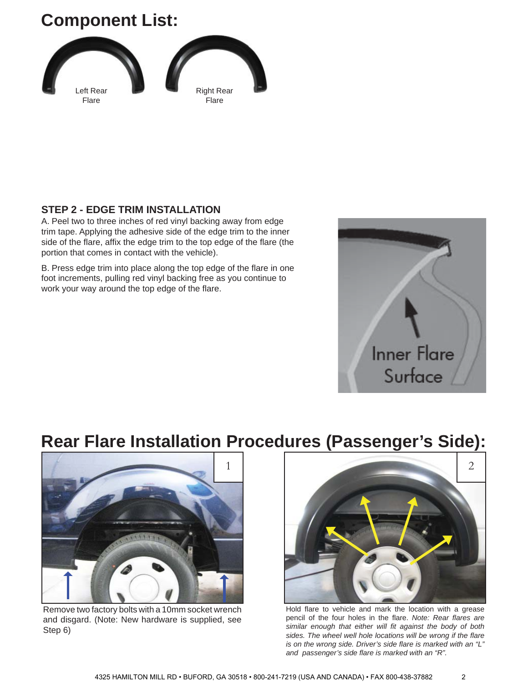# **Component List:**



#### **STEP 2 - EDGE TRIM INSTALLATION**

A. Peel two to three inches of red vinyl backing away from edge trim tape. Applying the adhesive side of the edge trim to the inner side of the flare, affix the edge trim to the top edge of the flare (the portion that comes in contact with the vehicle).

B. Press edge trim into place along the top edge of the flare in one foot increments, pulling red vinyl backing free as you continue to work your way around the top edge of the flare.



## **Rear Flare Installation Procedures (Passenger's Side):**



Remove two factory bolts with a 10mm socket wrench and disgard. (Note: New hardware is supplied, see Step 6)



Hold flare to vehicle and mark the location with a grease pencil of the four holes in the flare. *Note: Rear flares are* similar enough that either will fit against the body of both sides. The wheel well hole locations will be wrong if the flare *is on the wrong side. Driver's side flare is marked with an "L" and passenger's side fl are is marked with an "R".*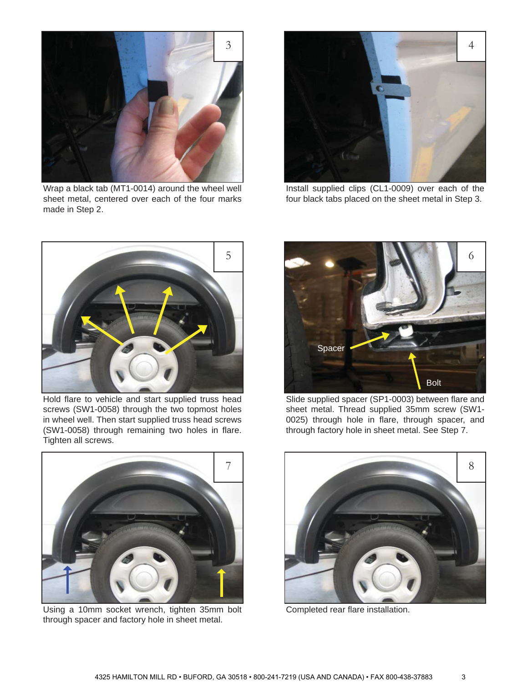

Wrap a black tab (MT1-0014) around the wheel well sheet metal, centered over each of the four marks made in Step 2.



Install supplied clips (CL1-0009) over each of the four black tabs placed on the sheet metal in Step 3.



Hold flare to vehicle and start supplied truss head screws (SW1-0058) through the two topmost holes in wheel well. Then start supplied truss head screws (SW1-0058) through remaining two holes in flare. Tighten all screws.



Slide supplied spacer (SP1-0003) between flare and sheet metal. Thread supplied 35mm screw (SW1- 0025) through hole in flare, through spacer, and through factory hole in sheet metal. See Step 7.



Using a 10mm socket wrench, tighten 35mm bolt through spacer and factory hole in sheet metal.



Completed rear flare installation.